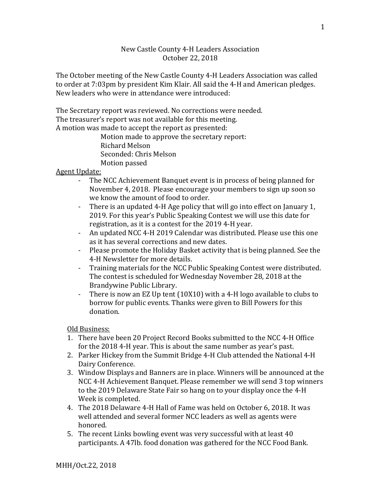## New Castle County 4-H Leaders Association October 22, 2018

The October meeting of the New Castle County 4-H Leaders Association was called to order at 7:03pm by president Kim Klair. All said the 4-H and American pledges. New leaders who were in attendance were introduced:

The Secretary report was reviewed. No corrections were needed. The treasurer's report was not available for this meeting. A motion was made to accept the report as presented:

Motion made to approve the secretary report: Richard Melson Seconded: Chris Melson Motion passed

## Agent Update:

- The NCC Achievement Banquet event is in process of being planned for November 4, 2018. Please encourage your members to sign up soon so we know the amount of food to order.
- There is an updated 4-H Age policy that will go into effect on January 1, 2019. For this year's Public Speaking Contest we will use this date for registration, as it is a contest for the 2019 4-H year.
- An updated NCC 4-H 2019 Calendar was distributed. Please use this one as it has several corrections and new dates.
- Please promote the Holiday Basket activity that is being planned. See the 4-H Newsletter for more details.
- Training materials for the NCC Public Speaking Contest were distributed. The contest is scheduled for Wednesday November 28, 2018 at the Brandywine Public Library.
- There is now an EZ Up tent (10X10) with a 4-H logo available to clubs to borrow for public events. Thanks were given to Bill Powers for this donation.

Old Business:

- 1. There have been 20 Project Record Books submitted to the NCC 4-H Office for the 2018 4-H year. This is about the same number as year's past.
- 2. Parker Hickey from the Summit Bridge 4-H Club attended the National 4-H Dairy Conference.
- 3. Window Displays and Banners are in place. Winners will be announced at the NCC 4-H Achievement Banquet. Please remember we will send 3 top winners to the 2019 Delaware State Fair so hang on to your display once the 4-H Week is completed.
- 4. The 2018 Delaware 4-H Hall of Fame was held on October 6, 2018. It was well attended and several former NCC leaders as well as agents were honored.
- 5. The recent Links bowling event was very successful with at least 40 participants. A 47lb. food donation was gathered for the NCC Food Bank.